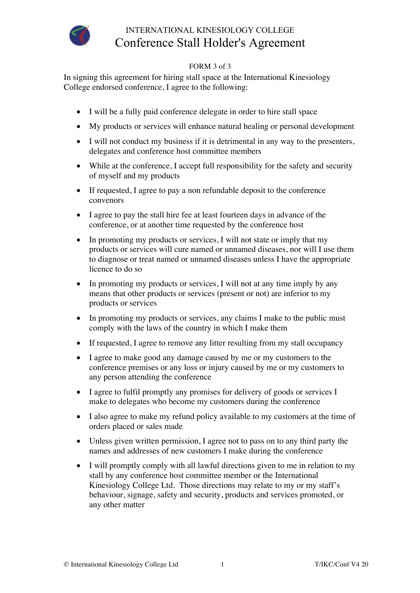

## INTERNATIONAL KINESIOLOGY COLLEGE Conference Stall Holder's Agreement

## FORM 3 of 3

In signing this agreement for hiring stall space at the International Kinesiology College endorsed conference, I agree to the following:

- I will be a fully paid conference delegate in order to hire stall space
- My products or services will enhance natural healing or personal development
- I will not conduct my business if it is detrimental in any way to the presenters, delegates and conference host committee members
- While at the conference, I accept full responsibility for the safety and security of myself and my products
- If requested, I agree to pay a non refundable deposit to the conference convenors
- I agree to pay the stall hire fee at least fourteen days in advance of the conference, or at another time requested by the conference host
- In promoting my products or services, I will not state or imply that my products or services will cure named or unnamed diseases, nor will I use them to diagnose or treat named or unnamed diseases unless I have the appropriate licence to do so
- In promoting my products or services, I will not at any time imply by any means that other products or services (present or not) are inferior to my products or services
- In promoting my products or services, any claims I make to the public must comply with the laws of the country in which I make them
- If requested, I agree to remove any litter resulting from my stall occupancy
- I agree to make good any damage caused by me or my customers to the conference premises or any loss or injury caused by me or my customers to any person attending the conference
- I agree to fulfil promptly any promises for delivery of goods or services I make to delegates who become my customers during the conference
- I also agree to make my refund policy available to my customers at the time of orders placed or sales made
- Unless given written permission, I agree not to pass on to any third party the names and addresses of new customers I make during the conference
- I will promptly comply with all lawful directions given to me in relation to my stall by any conference host committee member or the International Kinesiology College Ltd. Those directions may relate to my or my staff's behaviour, signage, safety and security, products and services promoted, or any other matter